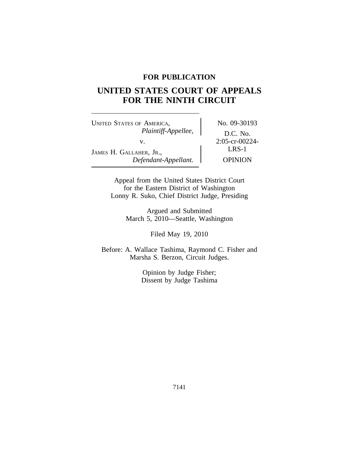# **FOR PUBLICATION**

# **UNITED STATES COURT OF APPEALS FOR THE NINTH CIRCUIT**

UNITED STATES OF AMERICA, No. 09-30193 *Plaintiff-Appellee,* D.C. No. v.  $2:05-cr-00224-$ <br>LRS-1 JAMES H. GALLAHER, JR., *Defendant-Appellant.* OPINION

Appeal from the United States District Court for the Eastern District of Washington Lonny R. Suko, Chief District Judge, Presiding

> Argued and Submitted March 5, 2010—Seattle, Washington

> > Filed May 19, 2010

Before: A. Wallace Tashima, Raymond C. Fisher and Marsha S. Berzon, Circuit Judges.

> Opinion by Judge Fisher; Dissent by Judge Tashima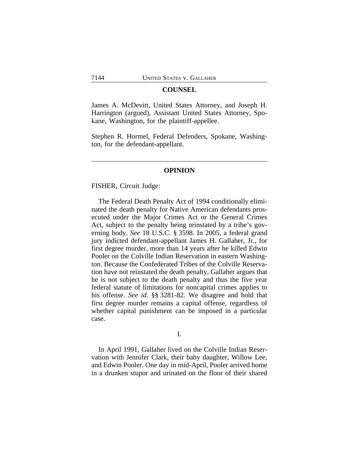### **COUNSEL**

James A. McDevitt, United States Attorney, and Joseph H. Harrington (argued), Assistant United States Attorney, Spokane, Washington, for the plaintiff-appellee.

Stephen R. Hormel, Federal Defenders, Spokane, Washington, for the defendant-appellant.

## **OPINION**

FISHER, Circuit Judge:

The Federal Death Penalty Act of 1994 conditionally eliminated the death penalty for Native American defendants prosecuted under the Major Crimes Act or the General Crimes Act, subject to the penalty being reinstated by a tribe's governing body. *See* 18 U.S.C. § 3598. In 2005, a federal grand jury indicted defendant-appellant James H. Gallaher, Jr., for first degree murder, more than 14 years after he killed Edwin Pooler on the Colville Indian Reservation in eastern Washington. Because the Confederated Tribes of the Colville Reservation have not reinstated the death penalty, Gallaher argues that he is not subject to the death penalty and thus the five year federal statute of limitations for noncapital crimes applies to his offense. *See id.* §§ 3281-82. We disagree and hold that first degree murder remains a capital offense, regardless of whether capital punishment can be imposed in a particular case.

## I.

In April 1991, Gallaher lived on the Colville Indian Reservation with Jennifer Clark, their baby daughter, Willow Lee, and Edwin Pooler. One day in mid-April, Pooler arrived home in a drunken stupor and urinated on the floor of their shared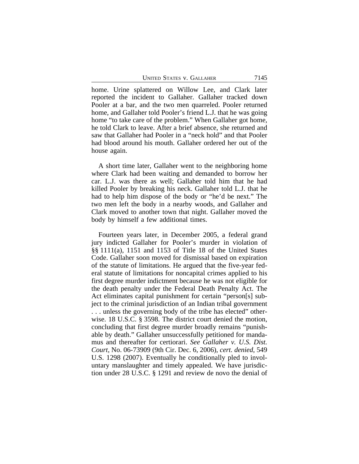UNITED STATES V. GALLAHER 7145

home. Urine splattered on Willow Lee, and Clark later reported the incident to Gallaher. Gallaher tracked down Pooler at a bar, and the two men quarreled. Pooler returned home, and Gallaher told Pooler's friend L.J. that he was going home "to take care of the problem." When Gallaher got home, he told Clark to leave. After a brief absence, she returned and saw that Gallaher had Pooler in a "neck hold" and that Pooler had blood around his mouth. Gallaher ordered her out of the house again.

A short time later, Gallaher went to the neighboring home where Clark had been waiting and demanded to borrow her car. L.J. was there as well; Gallaher told him that he had killed Pooler by breaking his neck. Gallaher told L.J. that he had to help him dispose of the body or "he'd be next." The two men left the body in a nearby woods, and Gallaher and Clark moved to another town that night. Gallaher moved the body by himself a few additional times.

Fourteen years later, in December 2005, a federal grand jury indicted Gallaher for Pooler's murder in violation of §§ 1111(a), 1151 and 1153 of Title 18 of the United States Code. Gallaher soon moved for dismissal based on expiration of the statute of limitations. He argued that the five-year federal statute of limitations for noncapital crimes applied to his first degree murder indictment because he was not eligible for the death penalty under the Federal Death Penalty Act. The Act eliminates capital punishment for certain "person[s] subject to the criminal jurisdiction of an Indian tribal government . . . unless the governing body of the tribe has elected" otherwise. 18 U.S.C. § 3598. The district court denied the motion, concluding that first degree murder broadly remains "punishable by death." Gallaher unsuccessfully petitioned for mandamus and thereafter for certiorari. *See Gallaher v. U.S. Dist. Court*, No. 06-73909 (9th Cir. Dec. 6, 2006), *cert. denied*, 549 U.S. 1298 (2007). Eventually he conditionally pled to involuntary manslaughter and timely appealed. We have jurisdiction under 28 U.S.C. § 1291 and review de novo the denial of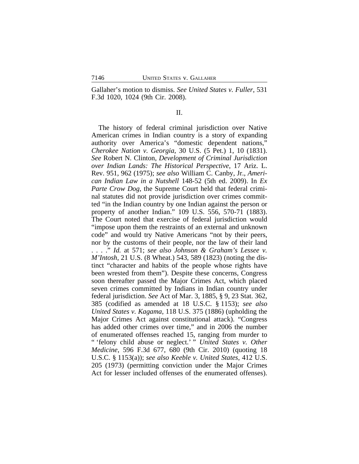Gallaher's motion to dismiss. *See United States v. Fuller*, 531 F.3d 1020, 1024 (9th Cir. 2008).

II.

The history of federal criminal jurisdiction over Native American crimes in Indian country is a story of expanding authority over America's "domestic dependent nations," *Cherokee Nation v. Georgia*, 30 U.S. (5 Pet.) 1, 10 (1831). *See* Robert N. Clinton, *Development of Criminal Jurisdiction over Indian Lands: The Historical Perspective*, 17 Ariz. L. Rev. 951, 962 (1975); *see also* William C. Canby, Jr., *American Indian Law in a Nutshell* 148-52 (5th ed. 2009). In *Ex Parte Crow Dog*, the Supreme Court held that federal criminal statutes did not provide jurisdiction over crimes committed "in the Indian country by one Indian against the person or property of another Indian." 109 U.S. 556, 570-71 (1883). The Court noted that exercise of federal jurisdiction would "impose upon them the restraints of an external and unknown code" and would try Native Americans "not by their peers, nor by the customs of their people, nor the law of their land . . . ." *Id.* at 571; *see also Johnson & Graham's Lessee v. M'Intosh*, 21 U.S. (8 Wheat.) 543, 589 (1823) (noting the distinct "character and habits of the people whose rights have been wrested from them"). Despite these concerns, Congress soon thereafter passed the Major Crimes Act, which placed seven crimes committed by Indians in Indian country under federal jurisdiction. *See* Act of Mar. 3, 1885, § 9, 23 Stat. 362, 385 (codified as amended at 18 U.S.C. § 1153); *see also United States v. Kagama*, 118 U.S. 375 (1886) (upholding the Major Crimes Act against constitutional attack). "Congress has added other crimes over time," and in 2006 the number of enumerated offenses reached 15, ranging from murder to " 'felony child abuse or neglect.' " *United States v. Other Medicine*, 596 F.3d 677, 680 (9th Cir. 2010) (quoting 18 U.S.C. § 1153(a)); *see also Keeble v. United States*, 412 U.S. 205 (1973) (permitting conviction under the Major Crimes Act for lesser included offenses of the enumerated offenses).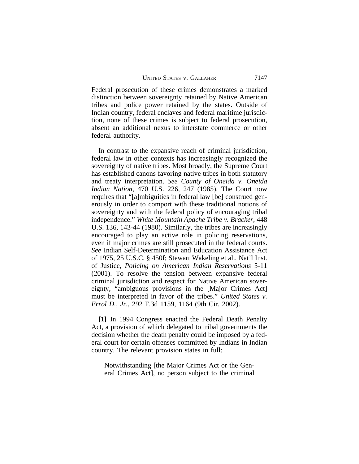Federal prosecution of these crimes demonstrates a marked distinction between sovereignty retained by Native American tribes and police power retained by the states. Outside of Indian country, federal enclaves and federal maritime jurisdiction, none of these crimes is subject to federal prosecution, absent an additional nexus to interstate commerce or other federal authority.

In contrast to the expansive reach of criminal jurisdiction, federal law in other contexts has increasingly recognized the sovereignty of native tribes. Most broadly, the Supreme Court has established canons favoring native tribes in both statutory and treaty interpretation. *See County of Oneida v. Oneida Indian Nation*, 470 U.S. 226, 247 (1985). The Court now requires that "[a]mbiguities in federal law [be] construed generously in order to comport with these traditional notions of sovereignty and with the federal policy of encouraging tribal independence." *White Mountain Apache Tribe v. Bracker*, 448 U.S. 136, 143-44 (1980). Similarly, the tribes are increasingly encouraged to play an active role in policing reservations, even if major crimes are still prosecuted in the federal courts. *See* Indian Self-Determination and Education Assistance Act of 1975, 25 U.S.C. § 450f; Stewart Wakeling et al., Nat'l Inst. of Justice, *Policing on American Indian Reservations* 5-11 (2001). To resolve the tension between expansive federal criminal jurisdiction and respect for Native American sovereignty, "ambiguous provisions in the [Major Crimes Act] must be interpreted in favor of the tribes." *United States v. Errol D., Jr.*, 292 F.3d 1159, 1164 (9th Cir. 2002).

**[1]** In 1994 Congress enacted the Federal Death Penalty Act, a provision of which delegated to tribal governments the decision whether the death penalty could be imposed by a federal court for certain offenses committed by Indians in Indian country. The relevant provision states in full:

Notwithstanding [the Major Crimes Act or the General Crimes Act], no person subject to the criminal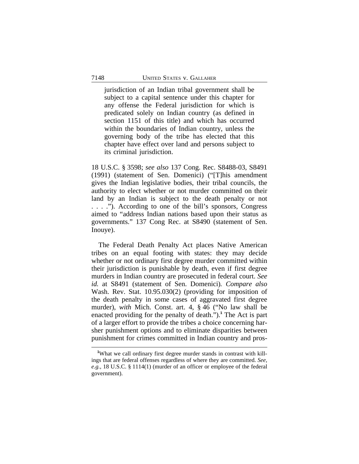jurisdiction of an Indian tribal government shall be subject to a capital sentence under this chapter for any offense the Federal jurisdiction for which is predicated solely on Indian country (as defined in section 1151 of this title) and which has occurred within the boundaries of Indian country, unless the governing body of the tribe has elected that this chapter have effect over land and persons subject to its criminal jurisdiction.

18 U.S.C. § 3598; *see also* 137 Cong. Rec. S8488-03, S8491 (1991) (statement of Sen. Domenici) ("[T]his amendment gives the Indian legislative bodies, their tribal councils, the authority to elect whether or not murder committed on their land by an Indian is subject to the death penalty or not . . . ."). According to one of the bill's sponsors, Congress aimed to "address Indian nations based upon their status as governments." 137 Cong Rec. at S8490 (statement of Sen. Inouye).

The Federal Death Penalty Act places Native American tribes on an equal footing with states: they may decide whether or not ordinary first degree murder committed within their jurisdiction is punishable by death, even if first degree murders in Indian country are prosecuted in federal court. *See id.* at S8491 (statement of Sen. Domenici)*. Compare also* Wash. Rev. Stat. 10.95.030(2) (providing for imposition of the death penalty in some cases of aggravated first degree murder), *with* Mich. Const. art. 4, § 46 ("No law shall be enacted providing for the penalty of death.").**<sup>1</sup>** The Act is part of a larger effort to provide the tribes a choice concerning harsher punishment options and to eliminate disparities between punishment for crimes committed in Indian country and pros-

**<sup>1</sup>**What we call ordinary first degree murder stands in contrast with killings that are federal offenses regardless of where they are committed. *See, e.g.*, 18 U.S.C. § 1114(1) (murder of an officer or employee of the federal government).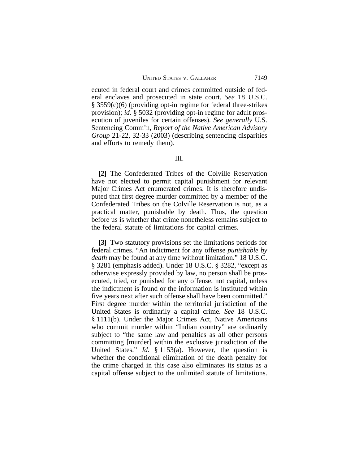ecuted in federal court and crimes committed outside of federal enclaves and prosecuted in state court. *See* 18 U.S.C. § 3559(c)(6) (providing opt-in regime for federal three-strikes provision); *id.* § 5032 (providing opt-in regime for adult prosecution of juveniles for certain offenses). *See generally* U.S. Sentencing Comm'n, *Report of the Native American Advisory Group* 21-22, 32-33 (2003) (describing sentencing disparities and efforts to remedy them).

## III.

**[2]** The Confederated Tribes of the Colville Reservation have not elected to permit capital punishment for relevant Major Crimes Act enumerated crimes. It is therefore undisputed that first degree murder committed by a member of the Confederated Tribes on the Colville Reservation is not, as a practical matter, punishable by death. Thus, the question before us is whether that crime nonetheless remains subject to the federal statute of limitations for capital crimes.

**[3]** Two statutory provisions set the limitations periods for federal crimes. "An indictment for any offense *punishable by death* may be found at any time without limitation." 18 U.S.C. § 3281 (emphasis added). Under 18 U.S.C. § 3282, "except as otherwise expressly provided by law, no person shall be prosecuted, tried, or punished for any offense, not capital, unless the indictment is found or the information is instituted within five years next after such offense shall have been committed." First degree murder within the territorial jurisdiction of the United States is ordinarily a capital crime. *See* 18 U.S.C. § 1111(b). Under the Major Crimes Act, Native Americans who commit murder within "Indian country" are ordinarily subject to "the same law and penalties as all other persons committing [murder] within the exclusive jurisdiction of the United States." *Id.* § 1153(a). However, the question is whether the conditional elimination of the death penalty for the crime charged in this case also eliminates its status as a capital offense subject to the unlimited statute of limitations.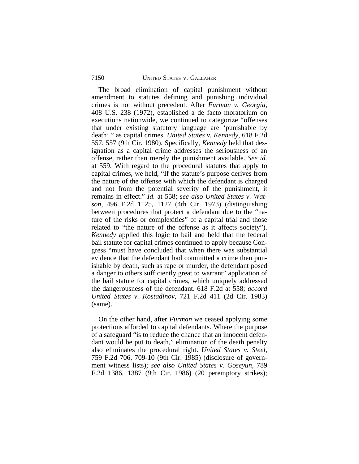The broad elimination of capital punishment without amendment to statutes defining and punishing individual crimes is not without precedent. After *Furman v. Georgia*, 408 U.S. 238 (1972), established a de facto moratorium on executions nationwide, we continued to categorize "offenses that under existing statutory language are 'punishable by death' " as capital crimes. *United States v. Kennedy*, 618 F.2d 557, 557 (9th Cir. 1980). Specifically, *Kennedy* held that designation as a capital crime addresses the seriousness of an offense, rather than merely the punishment available. *See id.* at 559. With regard to the procedural statutes that apply to capital crimes, we held, "If the statute's purpose derives from the nature of the offense with which the defendant is charged and not from the potential severity of the punishment, it remains in effect." *Id.* at 558; *see also United States v. Watson*, 496 F.2d 1125, 1127 (4th Cir. 1973) (distinguishing between procedures that protect a defendant due to the "nature of the risks or complexities" of a capital trial and those related to "the nature of the offense as it affects society"). *Kennedy* applied this logic to bail and held that the federal bail statute for capital crimes continued to apply because Congress "must have concluded that when there was substantial evidence that the defendant had committed a crime then punishable by death, such as rape or murder, the defendant posed a danger to others sufficiently great to warrant" application of the bail statute for capital crimes, which uniquely addressed the dangerousness of the defendant. 618 F.2d at 558; *accord United States v. Kostadinov*, 721 F.2d 411 (2d Cir. 1983) (same).

On the other hand, after *Furman* we ceased applying some protections afforded to capital defendants. Where the purpose of a safeguard "is to reduce the chance that an innocent defendant would be put to death," elimination of the death penalty also eliminates the procedural right. *United States v. Steel*, 759 F.2d 706, 709-10 (9th Cir. 1985) (disclosure of government witness lists); *see also United States v. Goseyun*, 789 F.2d 1386, 1387 (9th Cir. 1986) (20 peremptory strikes);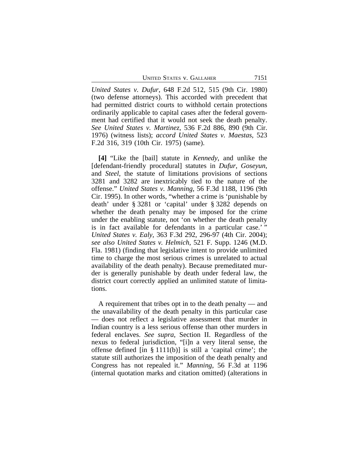UNITED STATES V. GALLAHER 7151

*United States v. Dufur*, 648 F.2d 512, 515 (9th Cir. 1980) (two defense attorneys). This accorded with precedent that had permitted district courts to withhold certain protections ordinarily applicable to capital cases after the federal government had certified that it would not seek the death penalty. *See United States v. Martinez*, 536 F.2d 886, 890 (9th Cir. 1976) (witness lists); *accord United States v. Maestas*, 523 F.2d 316, 319 (10th Cir. 1975) (same).

**[4]** "Like the [bail] statute in *Kennedy*, and unlike the [defendant-friendly procedural] statutes in *Dufur*, *Goseyun*, and *Steel*, the statute of limitations provisions of sections 3281 and 3282 are inextricably tied to the nature of the offense." *United States v. Manning*, 56 F.3d 1188, 1196 (9th Cir. 1995). In other words, "whether a crime is 'punishable by death' under § 3281 or 'capital' under § 3282 depends on whether the death penalty may be imposed for the crime under the enabling statute, not 'on whether the death penalty is in fact available for defendants in a particular case.'" *United States v. Ealy*, 363 F.3d 292, 296-97 (4th Cir. 2004); *see also United States v. Helmich*, 521 F. Supp. 1246 (M.D. Fla. 1981) (finding that legislative intent to provide unlimited time to charge the most serious crimes is unrelated to actual availability of the death penalty). Because premeditated murder is generally punishable by death under federal law, the district court correctly applied an unlimited statute of limitations.

A requirement that tribes opt in to the death penalty — and the unavailability of the death penalty in this particular case — does not reflect a legislative assessment that murder in Indian country is a less serious offense than other murders in federal enclaves. *See supra*, Section II. Regardless of the nexus to federal jurisdiction, "[i]n a very literal sense, the offense defined [in § 1111(b)] is still a 'capital crime'; the statute still authorizes the imposition of the death penalty and Congress has not repealed it." *Manning*, 56 F.3d at 1196 (internal quotation marks and citation omitted) (alterations in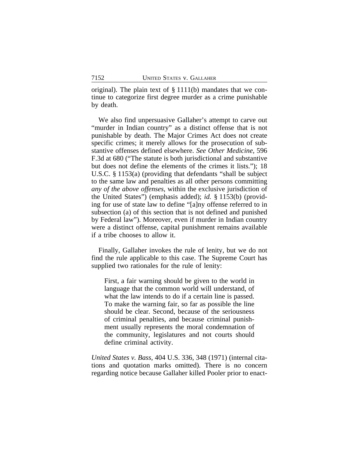original). The plain text of  $\S 1111(b)$  mandates that we continue to categorize first degree murder as a crime punishable by death.

We also find unpersuasive Gallaher's attempt to carve out "murder in Indian country" as a distinct offense that is not punishable by death. The Major Crimes Act does not create specific crimes; it merely allows for the prosecution of substantive offenses defined elsewhere. *See Other Medicine*, 596 F.3d at 680 ("The statute is both jurisdictional and substantive but does not define the elements of the crimes it lists."); 18 U.S.C. § 1153(a) (providing that defendants "shall be subject to the same law and penalties as all other persons committing *any of the above offenses*, within the exclusive jurisdiction of the United States") (emphasis added); *id.* § 1153(b) (providing for use of state law to define "[a]ny offense referred to in subsection (a) of this section that is not defined and punished by Federal law"). Moreover, even if murder in Indian country were a distinct offense, capital punishment remains available if a tribe chooses to allow it.

Finally, Gallaher invokes the rule of lenity, but we do not find the rule applicable to this case. The Supreme Court has supplied two rationales for the rule of lenity:

First, a fair warning should be given to the world in language that the common world will understand, of what the law intends to do if a certain line is passed. To make the warning fair, so far as possible the line should be clear. Second, because of the seriousness of criminal penalties, and because criminal punishment usually represents the moral condemnation of the community, legislatures and not courts should define criminal activity.

*United States v. Bass*, 404 U.S. 336, 348 (1971) (internal citations and quotation marks omitted). There is no concern regarding notice because Gallaher killed Pooler prior to enact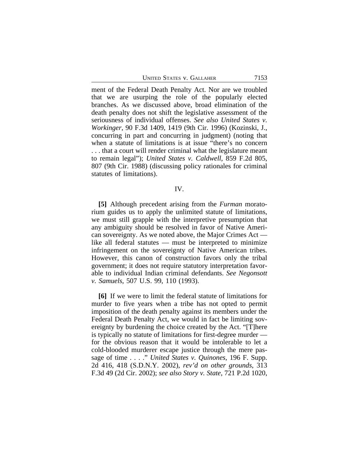UNITED STATES V. GALLAHER 7153

ment of the Federal Death Penalty Act. Nor are we troubled that we are usurping the role of the popularly elected branches. As we discussed above, broad elimination of the death penalty does not shift the legislative assessment of the seriousness of individual offenses. *See also United States v. Workinger*, 90 F.3d 1409, 1419 (9th Cir. 1996) (Kozinski, J., concurring in part and concurring in judgment) (noting that when a statute of limitations is at issue "there's no concern . . . that a court will render criminal what the legislature meant to remain legal"); *United States v. Caldwell*, 859 F.2d 805, 807 (9th Cir. 1988) (discussing policy rationales for criminal statutes of limitations).

#### IV.

**[5]** Although precedent arising from the *Furman* moratorium guides us to apply the unlimited statute of limitations, we must still grapple with the interpretive presumption that any ambiguity should be resolved in favor of Native American sovereignty. As we noted above, the Major Crimes Act like all federal statutes — must be interpreted to minimize infringement on the sovereignty of Native American tribes. However, this canon of construction favors only the tribal government; it does not require statutory interpretation favorable to individual Indian criminal defendants. *See Negonsott v. Samuels*, 507 U.S. 99, 110 (1993).

**[6]** If we were to limit the federal statute of limitations for murder to five years when a tribe has not opted to permit imposition of the death penalty against its members under the Federal Death Penalty Act, we would in fact be limiting sovereignty by burdening the choice created by the Act. "[T]here is typically no statute of limitations for first-degree murder for the obvious reason that it would be intolerable to let a cold-blooded murderer escape justice through the mere passage of time . . . ." *United States v. Quinones*, 196 F. Supp. 2d 416, 418 (S.D.N.Y. 2002), *rev'd on other grounds*, 313 F.3d 49 (2d Cir. 2002); *see also Story v. State*, 721 P.2d 1020,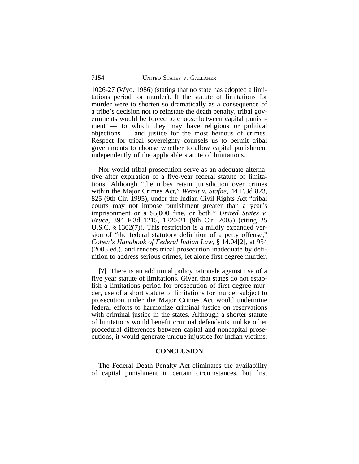1026-27 (Wyo. 1986) (stating that no state has adopted a limitations period for murder). If the statute of limitations for murder were to shorten so dramatically as a consequence of a tribe's decision not to reinstate the death penalty, tribal governments would be forced to choose between capital punishment — to which they may have religious or political objections — and justice for the most heinous of crimes. Respect for tribal sovereignty counsels us to permit tribal governments to choose whether to allow capital punishment independently of the applicable statute of limitations.

Nor would tribal prosecution serve as an adequate alternative after expiration of a five-year federal statute of limitations. Although "the tribes retain jurisdiction over crimes within the Major Crimes Act," *Wetsit v. Stafne*, 44 F.3d 823, 825 (9th Cir. 1995), under the Indian Civil Rights Act "tribal courts may not impose punishment greater than a year's imprisonment or a \$5,000 fine, or both." *United States v. Bruce*, 394 F.3d 1215, 1220-21 (9th Cir. 2005) (citing 25 U.S.C. § 1302(7)). This restriction is a mildly expanded version of "the federal statutory definition of a petty offense," *Cohen's Handbook of Federal Indian Law*, § 14.04[2], at 954 (2005 ed.), and renders tribal prosecution inadequate by definition to address serious crimes, let alone first degree murder.

**[7]** There is an additional policy rationale against use of a five year statute of limitations. Given that states do not establish a limitations period for prosecution of first degree murder, use of a short statute of limitations for murder subject to prosecution under the Major Crimes Act would undermine federal efforts to harmonize criminal justice on reservations with criminal justice in the states. Although a shorter statute of limitations would benefit criminal defendants, unlike other procedural differences between capital and noncapital prosecutions, it would generate unique injustice for Indian victims.

### **CONCLUSION**

The Federal Death Penalty Act eliminates the availability of capital punishment in certain circumstances, but first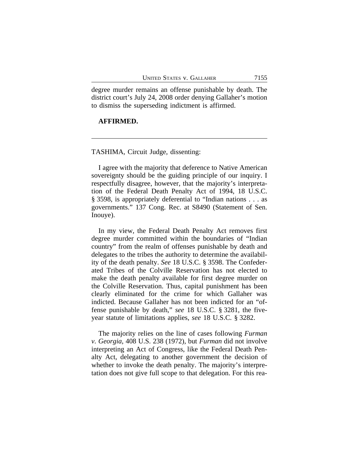degree murder remains an offense punishable by death. The district court's July 24, 2008 order denying Gallaher's motion to dismiss the superseding indictment is affirmed.

### **AFFIRMED.**

## TASHIMA, Circuit Judge, dissenting:

I agree with the majority that deference to Native American sovereignty should be the guiding principle of our inquiry. I respectfully disagree, however, that the majority's interpretation of the Federal Death Penalty Act of 1994, 18 U.S.C. § 3598, is appropriately deferential to "Indian nations . . . as governments." 137 Cong. Rec. at S8490 (Statement of Sen. Inouye).

In my view, the Federal Death Penalty Act removes first degree murder committed within the boundaries of "Indian country" from the realm of offenses punishable by death and delegates to the tribes the authority to determine the availability of the death penalty. *See* 18 U.S.C. § 3598. The Confederated Tribes of the Colville Reservation has not elected to make the death penalty available for first degree murder on the Colville Reservation. Thus, capital punishment has been clearly eliminated for the crime for which Gallaher was indicted. Because Gallaher has not been indicted for an "offense punishable by death," *see* 18 U.S.C. § 3281, the fiveyear statute of limitations applies, *see* 18 U.S.C. § 3282.

The majority relies on the line of cases following *Furman v. Georgia*, 408 U.S. 238 (1972), but *Furman* did not involve interpreting an Act of Congress, like the Federal Death Penalty Act, delegating to another government the decision of whether to invoke the death penalty. The majority's interpretation does not give full scope to that delegation. For this rea